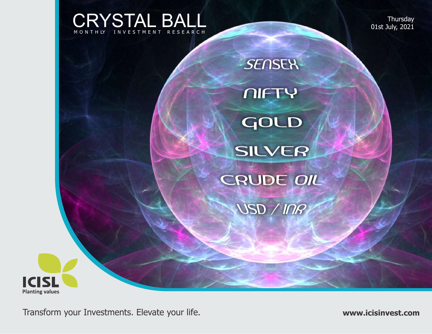CRYSTAL BALL V E S T M E N T R E S E A R C H

**Thursday** 01st July, 2021



**ICISL Planting values**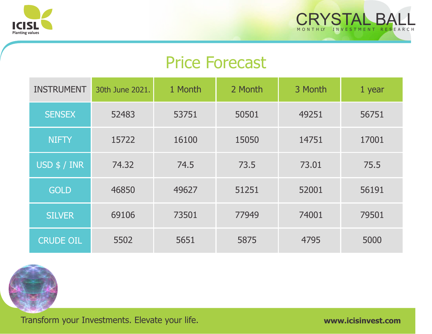



# Price Forecast

| <b>INSTRUMENT</b> | 30th June 2021. | 1 Month | 2 Month | 3 Month | 1 year |
|-------------------|-----------------|---------|---------|---------|--------|
| <b>SENSEX</b>     | 52483           | 53751   | 50501   | 49251   | 56751  |
| <b>NIFTY</b>      | 15722           | 16100   | 15050   | 14751   | 17001  |
| USD $$/$ INR      | 74.32           | 74.5    | 73.5    | 73.01   | 75.5   |
| <b>GOLD</b>       | 46850           | 49627   | 51251   | 52001   | 56191  |
| <b>SILVER</b>     | 69106           | 73501   | 77949   | 74001   | 79501  |
| <b>CRUDE OIL</b>  | 5502            | 5651    | 5875    | 4795    | 5000   |

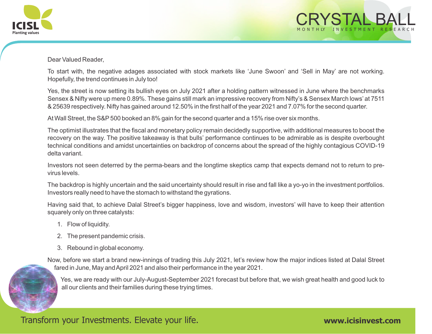



#### Dear Valued Reader,

To start with, the negative adages associated with stock markets like 'June Swoon' and 'Sell in May' are not working. Hopefully, the trend continues in July too!

Yes, the street is now setting its bullish eyes on July 2021 after a holding pattern witnessed in June where the benchmarks Sensex & Nifty were up mere 0.89%. These gains still mark an impressive recovery from Nifty's & Sensex March lows' at 7511 & 25639 respectively. Nifty has gained around 12.50% in the first half of the year 2021 and 7.07% for the second quarter.

At Wall Street, the S&P 500 booked an 8% gain for the second quarter and a 15% rise over six months.

The optimist illustrates that the fiscal and monetary policy remain decidedly supportive, with additional measures to boost the recovery on the way. The positive takeaway is that bulls' performance continues to be admirable as is despite overbought technical conditions and amidst uncertainties on backdrop of concerns about the spread of the highly contagious COVID-19 delta variant.

Investors not seen deterred by the perma-bears and the longtime skeptics camp that expects demand not to return to previrus levels.

The backdrop is highly uncertain and the said uncertainty should result in rise and fall like a yo-yo in the investment portfolios. Investors really need to have the stomach to withstand the gyrations.

Having said that, to achieve Dalal Street's bigger happiness, love and wisdom, investors' will have to keep their attention squarely only on three catalysts:

- 1. Flow of liquidity.
- 2. The present pandemic crisis.
- 3. Rebound in global economy.

Now, before we start a brand new-innings of trading this July 2021, let's review how the major indices listed at Dalal Street fared in June, May and April 2021 and also their performance in the year 2021.

Yes, we are ready with our July-August-September 2021 forecast but before that, we wish great health and good luck to all our clients and their families during these trying times.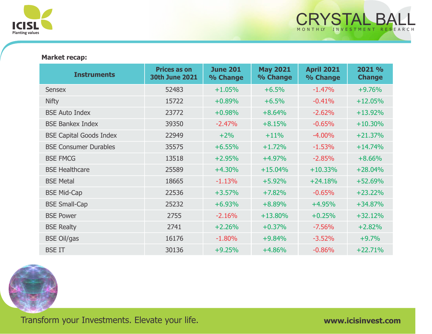

#### **Market recap:**

| <b>Instruments</b>             | <b>Prices as on</b><br><b>30th June 2021</b> | <b>June 201</b><br>% Change | <b>May 2021</b><br>% Change | <b>April 2021</b><br>% Change | 2021 %<br><b>Change</b> |
|--------------------------------|----------------------------------------------|-----------------------------|-----------------------------|-------------------------------|-------------------------|
| <b>Sensex</b>                  | 52483                                        | $+1.05%$                    | $+6.5%$                     | $-1.47%$                      | $+9.76%$                |
| <b>Nifty</b>                   | 15722                                        | $+0.89%$                    | $+6.5%$                     | $-0.41%$                      | $+12.05%$               |
| <b>BSE Auto Index</b>          | 23772                                        | $+0.98%$                    | $+8.64%$                    | $-2.62%$                      | $+13.92%$               |
| <b>BSE Bankex Index</b>        | 39350                                        | $-2.47%$                    | $+8.15%$                    | $-0.65%$                      | $+10.30%$               |
| <b>BSE Capital Goods Index</b> | 22949                                        | $+2%$                       | $+11%$                      | $-4.00%$                      | $+21.37%$               |
| <b>BSE Consumer Durables</b>   | 35575                                        | $+6.55%$                    | $+1.72%$                    | $-1.53%$                      | $+14.74%$               |
| <b>BSE FMCG</b>                | 13518                                        | $+2.95%$                    | $+4.97%$                    | $-2.85%$                      | $+8.66%$                |
| <b>BSE Healthcare</b>          | 25589                                        | $+4.30%$                    | $+15.04%$                   | $+10.33%$                     | $+28.04%$               |
| <b>BSE Metal</b>               | 18665                                        | $-1.13%$                    | $+5.92%$                    | $+24.18%$                     | $+52.69%$               |
| <b>BSE Mid-Cap</b>             | 22536                                        | $+3.57%$                    | $+7.82%$                    | $-0.65%$                      | $+23.22%$               |
| <b>BSE Small-Cap</b>           | 25232                                        | $+6.93%$                    | $+8.89%$                    | $+4.95%$                      | $+34.87%$               |
| <b>BSE Power</b>               | 2755                                         | $-2.16%$                    | $+13.80%$                   | $+0.25%$                      | $+32.12%$               |
| <b>BSE Realty</b>              | 2741                                         | $+2.26%$                    | $+0.37%$                    | $-7.56%$                      | $+2.82%$                |
| <b>BSE Oil/gas</b>             | 16176                                        | $-1.80%$                    | $+9.84%$                    | $-3.52%$                      | $+9.7%$                 |
| <b>BSE IT</b>                  | 30136                                        | $+9.25%$                    | $+4.86%$                    | $-0.86%$                      | $+22.71%$               |

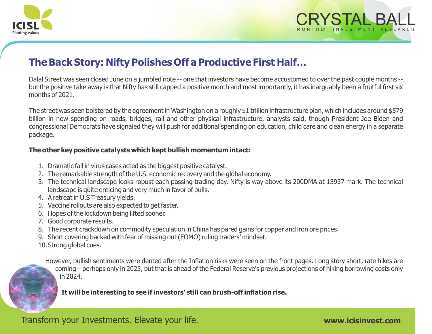



## **The Back Story: Nifty Polishes Off a Productive First Half…**

Dalal Street was seen closed June on a jumbled note -- one that investors have become accustomed to over the past couple months - but the positive take away is that Nifty has still capped a positive month and most importantly, it has inarguably been a fruitful first six months of 2021.

The street was seen bolstered by the agreement in Washington on a roughly \$1 trillion infrastructure plan, which includes around \$579 billion in new spending on roads, bridges, rail and other physical infrastructure, analysts said, though President Joe Biden and congressional Democrats have signaled they will push for additional spending on education, child care and clean energy in a separate package.

#### **The other key positive catalysts which kept bullish momentum intact:**

- 1. Dramatic fall in virus cases acted as the biggest positive catalyst.
- 2. The remarkable strength of the U.S. economic recovery and the global economy.
- 3. The technical landscape looks robust each passing trading day. Nifty is way above its 200DMA at 13937 mark. The technical landscape is quite enticing and very much in favor of bulls.
- 4. A retreat in U.S Treasury yields.
- 5. Vaccine rollouts are also expected to get faster.
- 6. Hopes of the lockdown being lifted sooner.
- 7. Good corporate results.
- 8. The recent crackdown on commodity speculation in China has pared gains for copper and iron ore prices.
- 9. Short covering backed with fear of missing out (FOMO) ruling traders' mindset.
- 10.Strong global cues.

However, bullish sentiments were dented after the Inflation risks were seen on the front pages. Long story short, rate hikes are coming – perhaps only in 2023, but that is ahead of the Federal Reserve's previous projections of hiking borrowing costs only in 2024.

**It will be interesting to see if investors' still can brush-off inflation rise.**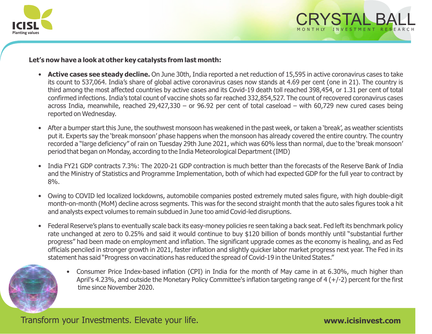



#### **Let's now have a look at other key catalysts from last month:**

- **Active cases see steady decline.** On June 30th, India reported a net reduction of 15,595 in active coronavirus cases to take its count to 537,064. India's share of global active coronavirus cases now stands at 4.69 per cent (one in 21). The country is third among the most affected countries by active cases and its Covid-19 death toll reached 398,454, or 1.31 per cent of total confirmed infections. India's total count of vaccine shots so far reached 332,854,527. The count of recovered coronavirus cases across India, meanwhile, reached 29,427,330 – or 96.92 per cent of total caseload – with 60,729 new cured cases being reported on Wednesday.
- After a bumper start this June, the southwest monsoon has weakened in the past week, or taken a 'break', as weather scientists put it. Experts say the 'break monsoon' phase happens when the monsoon has already covered the entire country. The country recorded a "large deficiency" of rain on Tuesday 29th June 2021, which was 60% less than normal, due to the 'break monsoon' period that began on Monday, according to the India Meteorological Department (IMD)
- India FY21 GDP contracts 7.3%: The 2020-21 GDP contraction is much better than the forecasts of the Reserve Bank of India and the Ministry of Statistics and Programme Implementation, both of which had expected GDP for the full year to contract by 8%.
- Owing to COVID led localized lockdowns, automobile companies posted extremely muted sales figure, with high double-digit month-on-month (MoM) decline across segments. This was for the second straight month that the auto sales figures took a hit and analysts expect volumes to remain subdued in June too amid Covid-led disruptions.
- Federal Reserve's plans to eventually scale back its easy-money policies re seen taking a back seat. Fed left its benchmark policy rate unchanged at zero to 0.25% and said it would continue to buy \$120 billion of bonds monthly until "substantial further progress" had been made on employment and inflation. The significant upgrade comes as the economy is healing, and as Fed officials penciled in stronger growth in 2021, faster inflation and slightly quicker labor market progress next year. The Fed in its statement has said "Progress on vaccinations has reduced the spread of Covid-19 in the United States."



• Consumer Price Index-based inflation (CPI) in India for the month of May came in at 6.30%, much higher than April's 4.23%, and outside the Monetary Policy Committee's inflation targeting range of  $4 (+/-2)$  percent for the first time since November 2020.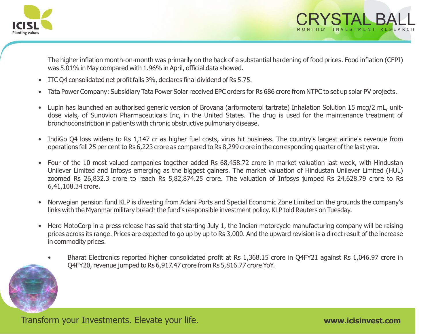

The higher inflation month-on-month was primarily on the back of a substantial hardening of food prices. Food inflation (CFPI) was 5.01% in May compared with 1.96% in April, official data showed.

- ITC Q4 consolidated net profit falls 3%, declares final dividend of Rs 5.75.
- Tata Power Company: Subsidiary Tata Power Solar received EPC orders for Rs 686 crore from NTPC to set up solar PV projects.
- Lupin has launched an authorised generic version of Brovana (arformoterol tartrate) Inhalation Solution 15 mcg/2 mL, unitdose vials, of Sunovion Pharmaceuticals Inc, in the United States. The drug is used for the maintenance treatment of bronchoconstriction in patients with chronic obstructive pulmonary disease.
- IndiGo Q4 loss widens to Rs 1,147 cr as higher fuel costs, virus hit business. The country's largest airline's revenue from operations fell 25 per cent to Rs 6,223 crore as compared to Rs 8,299 crore in the corresponding quarter of the last year.
- Four of the 10 most valued companies together added Rs 68,458.72 crore in market valuation last week, with Hindustan Unilever Limited and Infosys emerging as the biggest gainers. The market valuation of Hindustan Unilever Limited (HUL) zoomed Rs 26,832.3 crore to reach Rs 5,82,874.25 crore. The valuation of Infosys jumped Rs 24,628.79 crore to Rs 6,41,108.34 crore.
- Norwegian pension fund KLP is divesting from Adani Ports and Special Economic Zone Limited on the grounds the company's links with the Myanmar military breach the fund's responsible investment policy, KLP told Reuters on Tuesday.
- Hero MotoCorp in a press release has said that starting July 1, the Indian motorcycle manufacturing company will be raising prices across its range. Prices are expected to go up by up to Rs 3,000. And the upward revision is a direct result of the increase in commodity prices.
	- Bharat Electronics reported higher consolidated profit at Rs 1,368.15 crore in Q4FY21 against Rs 1,046.97 crore in Q4FY20, revenue jumped to Rs 6,917.47 crore from Rs 5,816.77 crore YoY.

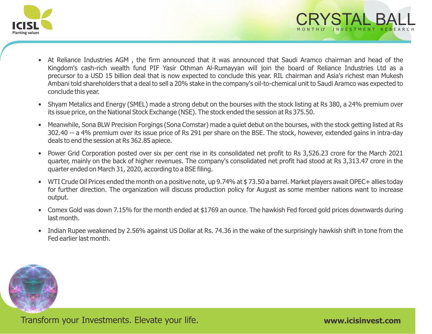

- At Reliance Industries AGM , the firm announced that it was announced that Saudi Aramco chairman and head of the Kingdom's cash-rich wealth fund PIF Yasir Othman Al-Rumayyan will join the board of Reliance Industries Ltd as a precursor to a USD 15 billion deal that is now expected to conclude this year. RIL chairman and Asia's richest man Mukesh Ambani told shareholders that a deal to sell a 20% stake in the company's oil-to-chemical unit to Saudi Aramco was expected to conclude this year.
- Shyam Metalics and Energy (SMEL) made a strong debut on the bourses with the stock listing at Rs 380, a 24% premium over its issue price, on the National Stock Exchange (NSE). The stock ended the session at Rs 375.50.
- Meanwhile, Sona BLW Precision Forgings (Sona Comstar) made a quiet debut on the bourses, with the stock getting listed at Rs 302.40 -- a 4% premium over its issue price of Rs 291 per share on the BSE. The stock, however, extended gains in intra-day deals to end the session at Rs 362.85 apiece.
- Power Grid Corporation posted over six per cent rise in its consolidated net profit to Rs 3,526.23 crore for the March 2021 quarter, mainly on the back of higher revenues. The company's consolidated net profit had stood at Rs 3,313.47 crore in the quarter ended on March 31, 2020, according to a BSE filing.
- WTI Crude Oil Prices ended the month on a positive note, up 9.74% at \$73.50 a barrel. Market players await OPEC+ allies today for further direction. The organization will discuss production policy for August as some member nations want to increase output.
- Comex Gold was down 7.15% for the month ended at \$1769 an ounce. The hawkish Fed forced gold prices downwards during last month.
- Indian Rupee weakened by 2.56% against US Dollar at Rs. 74.36 in the wake of the surprisingly hawkish shift in tone from the Fed earlier last month.



CRYSTAL BALL M O N T H LY I N V E S T M E N T R E S E A R C H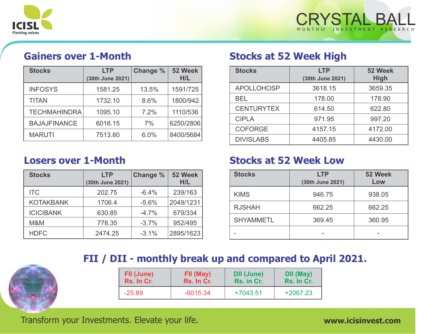



## **Gainers over 1-Month**

| <b>Stocks</b>       | <b>LTP</b><br>(30th June 2021) | <b>Change %</b> | 52 Week<br>H/L |
|---------------------|--------------------------------|-----------------|----------------|
| <b>INFOSYS</b>      | 1581.25                        | 13.5%           | 1591/725       |
| <b>TITAN</b>        | 1732.10                        | 8.6%            | 1800/942       |
| <b>TECHMAHINDRA</b> | 1095.10                        | 7.2%            | 1110/536       |
| <b>BAJAJFINANCE</b> | 6016.15                        | 7%              | 6250/2806      |
| <b>MARUTI</b>       | 7513.80                        | 6.0%            | 8400/5684      |

### **Losers over 1-Month**

| <b>Stocks</b>    | <b>LTP</b>       | <b>Change %</b> | 52 Week<br>H/L |
|------------------|------------------|-----------------|----------------|
|                  | (30th June 2021) |                 |                |
| <b>ITC</b>       | 202.75           | $-6.4%$         | 239/163        |
| <b>KOTAKBANK</b> | 1706.4           | $-5.6%$         | 2049/1231      |
| <b>ICICIBANK</b> | 630.85           | $-4.7%$         | 679/334        |
| M&M              | 778.35           | $-3.7%$         | 952/495        |
| <b>HDFC</b>      | 2474.25          | $-3.1%$         | 2895/1623      |

### **Stocks at 52 Week High**

| <b>Stocks</b>     | <b>LTP</b><br>(30th June 2021) | 52 Week<br><b>High</b> |
|-------------------|--------------------------------|------------------------|
| <b>APOLLOHOSP</b> | 3618.15                        | 3659.35                |
| <b>BEL</b>        | 178,00                         | 178.90                 |
| <b>CENTURYTEX</b> | 614.50                         | 622.80                 |
| <b>CIPLA</b>      | 971.95                         | 997.20                 |
| <b>COFORGE</b>    | 4157.15                        | 4172.00                |
| <b>DIVISLABS</b>  | 4405.85                        | 4430.00                |

### **Stocks at 52 Week Low**

| <b>Stocks</b>    | <b>LTP</b><br>(30th June 2021) | 52 Week<br>Low |
|------------------|--------------------------------|----------------|
| <b>KIMS</b>      | 946.75                         | 938.05         |
| <b>RJSHAH</b>    | 662.25                         | 662.25         |
| <b>SHYAMMETL</b> | 369.45                         | 360.95         |
|                  |                                |                |

# **FII / DII - monthly break up and compared to April 2021.**

| FII (June) | FII (May)  | <b>DII (June)</b> | DII (May)  |
|------------|------------|-------------------|------------|
| Rs. In Cr. | Rs. In Cr. | Rs. in Cr.        | Rs. In Cr. |
| $-25.89$   | $-6015.34$ | +7043.51          | $+2067.23$ |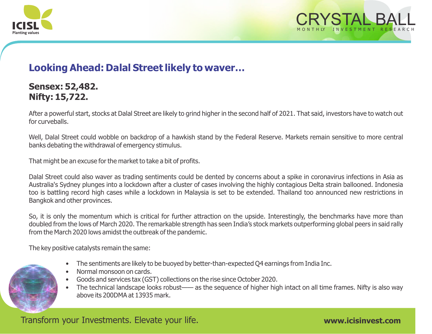



### **Looking Ahead: Dalal Street likely to waver…**

### **Sensex: 52,482. Nifty: 15,722.**

After a powerful start, stocks at Dalal Street are likely to grind higher in the second half of 2021. That said, investors have to watch out for curveballs.

Well, Dalal Street could wobble on backdrop of a hawkish stand by the Federal Reserve. Markets remain sensitive to more central banks debating the withdrawal of emergency stimulus.

That might be an excuse for the market to take a bit of profits.

Dalal Street could also waver as trading sentiments could be dented by concerns about a spike in coronavirus infections in Asia as Australia's Sydney plunges into a lockdown after a cluster of cases involving the highly contagious Delta strain ballooned. Indonesia too is battling record high cases while a lockdown in Malaysia is set to be extended. Thailand too announced new restrictions in Bangkok and other provinces.

So, it is only the momentum which is critical for further attraction on the upside. Interestingly, the benchmarks have more than doubled from the lows of March 2020. The remarkable strength has seen India's stock markets outperforming global peers in said rally from the March 2020 lows amidst the outbreak of the pandemic.

The key positive catalysts remain the same:

- The sentiments are likely to be buoyed by better-than-expected Q4 earnings from India Inc.
- Normal monsoon on cards.
- Goods and services tax (GST) collections on the rise since October 2020.
- The technical landscape looks robust—— as the sequence of higher high intact on all time frames. Nifty is also way above its 200DMA at 13935 mark.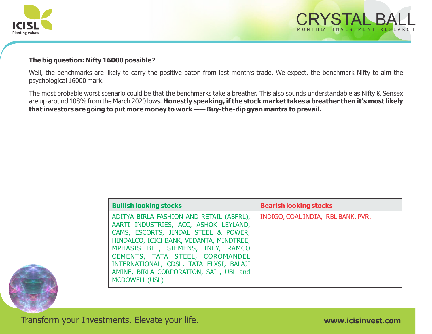



#### **The big question: Nifty 16000 possible?**

Well, the benchmarks are likely to carry the positive baton from last month's trade. We expect, the benchmark Nifty to aim the psychological 16000 mark.

The most probable worst scenario could be that the benchmarks take a breather. This also sounds understandable as Nifty & Sensex are up around 108% from the March 2020 lows. **Honestly speaking, if the stock market takes a breather then it's most likely that investors are going to put more money to work —— Buy-the-dip gyan mantra to prevail.** 

| <b>Bullish looking stocks</b>                                                                                                                                                                                                                                                                                                                                | <b>Bearish looking stocks</b>      |
|--------------------------------------------------------------------------------------------------------------------------------------------------------------------------------------------------------------------------------------------------------------------------------------------------------------------------------------------------------------|------------------------------------|
| ADITYA BIRLA FASHION AND RETAIL (ABFRL),<br>AARTI INDUSTRIES, ACC, ASHOK LEYLAND,<br>CAMS, ESCORTS, JINDAL STEEL & POWER,<br>HINDALCO, ICICI BANK, VEDANTA, MINDTREE,<br>MPHASIS BFL, SIEMENS, INFY, RAMCO<br>CEMENTS, TATA STEEL, COROMANDEL<br>INTERNATIONAL, CDSL, TATA ELXSI, BALAJI<br>AMINE, BIRLA CORPORATION, SAIL, UBL and<br><b>MCDOWELL (USL)</b> | INDIGO, COAL INDIA, RBL BANK, PVR. |

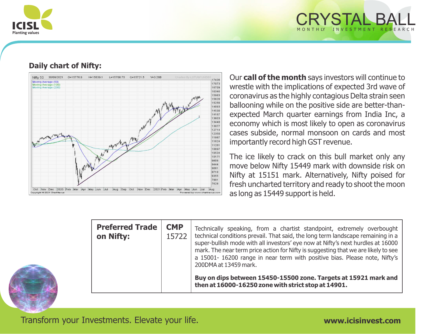

# CRYSTAL BALL M O N T H LY I N V E S T M E N T R E S E A R C H

#### **Daily chart of Nifty:**



Our **call of the month** says investors will continue to wrestle with the implications of expected 3rd wave of coronavirus as the highly contagious Delta strain seen ballooning while on the positive side are better-thanexpected March quarter earnings from India Inc, a economy which is most likely to open as coronavirus cases subside, normal monsoon on cards and most importantly record high GST revenue.

The ice likely to crack on this bull market only any move below Nifty 15449 mark with downside risk on Nifty at 15151 mark. Alternatively, Nifty poised for fresh uncharted territory and ready to shoot the moon as long as 15449 support is held.

| <b>Preferred Trade</b><br>on Nifty: | <b>CMP</b><br>15722 | Technically speaking, from a chartist standpoint, extremely overbought<br>technical conditions prevail. That said, the long term landscape remaining in a<br>super-bullish mode with all investors' eye now at Nifty's next hurdles at 16000<br>mark. The near term price action for Nifty is suggesting that we are likely to see<br>a 15001-16200 range in near term with positive bias. Please note, Nifty's<br>200DMA at 13459 mark. |
|-------------------------------------|---------------------|------------------------------------------------------------------------------------------------------------------------------------------------------------------------------------------------------------------------------------------------------------------------------------------------------------------------------------------------------------------------------------------------------------------------------------------|
|                                     |                     | Buy on dips between 15450-15500 zone. Targets at 15921 mark and<br>then at 16000-16250 zone with strict stop at 14901.                                                                                                                                                                                                                                                                                                                   |

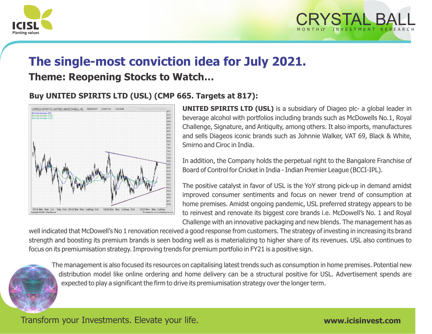



# **The single-most conviction idea for July 2021. Theme: Reopening Stocks to Watch…**

#### **Buy UNITED SPIRITS LTD (USL) (CMP 665. Targets at 817):**



**UNITED SPIRITS LTD (USL)** is a subsidiary of Diageo plc- a global leader in beverage alcohol with portfolios including brands such as McDowells No.1, Royal Challenge, Signature, and Antiquity, among others. It also imports, manufactures and sells Diageos iconic brands such as Johnnie Walker, VAT 69, Black & White, Smirno and Ciroc in India.

In addition, the Company holds the perpetual right to the Bangalore Franchise of Board of Control for Cricket in India - Indian Premier League (BCCI-IPL).

The positive catalyst in favor of USL is the YoY strong pick-up in demand amidst improved consumer sentiments and focus on newer trend of consumption at home premises. Amidst ongoing pandemic, USL preferred strategy appears to be to reinvest and renovate its biggest core brands i.e. McDowell's No. 1 and Royal Challenge with an innovative packaging and new blends. The management has as

well indicated that McDowell's No 1 renovation received a good response from customers. The strategy of investing in increasing its brand strength and boosting its premium brands is seen boding well as is materializing to higher share of its revenues. USL also continues to focus on its premiumisation strategy. Improving trends for premium portfolio in FY21 is a positive sign.

The management is also focused its resources on capitalising latest trends such as consumption in home premises. Potential new distribution model like online ordering and home delivery can be a structural positive for USL. Advertisement spends are expected to play a significant the firm to drive its premiumisation strategy over the longer term.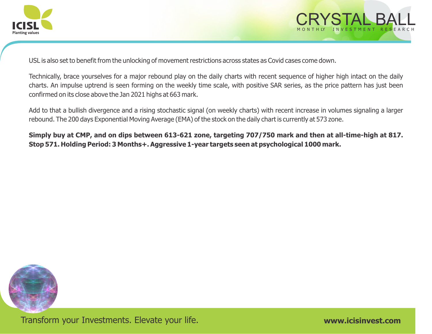



USL is also set to benefit from the unlocking of movement restrictions across states as Covid cases come down.

Technically, brace yourselves for a major rebound play on the daily charts with recent sequence of higher high intact on the daily charts. An impulse uptrend is seen forming on the weekly time scale, with positive SAR series, as the price pattern has just been confirmed on its close above the Jan 2021 highs at 663 mark.

Add to that a bullish divergence and a rising stochastic signal (on weekly charts) with recent increase in volumes signaling a larger rebound. The 200 days Exponential Moving Average (EMA) of the stock on the daily chart is currently at 573 zone.

**Simply buy at CMP, and on dips between 613-621 zone, targeting 707/750 mark and then at all-time-high at 817. Stop 571. Holding Period: 3 Months+. Aggressive 1-year targets seen at psychological 1000 mark.**